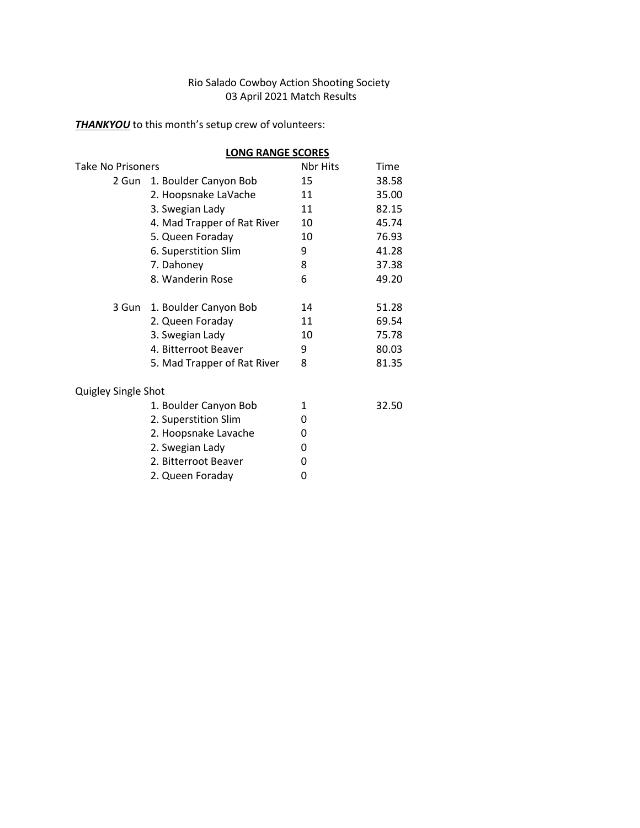#### Rio Salado Cowboy Action Shooting Society 03 April 2021 Match Results

*THANKYOU* to this month's setup crew of volunteers:

| Take No Prisoners           | Nbr Hits | Time                     |
|-----------------------------|----------|--------------------------|
| 1. Boulder Canyon Bob       | 15       | 38.58                    |
| 2. Hoopsnake LaVache        | 11       | 35.00                    |
| 3. Swegian Lady             | 11       | 82.15                    |
| 4. Mad Trapper of Rat River | 10       | 45.74                    |
| 5. Queen Foraday            | 10       | 76.93                    |
| 6. Superstition Slim        | 9        | 41.28                    |
| 7. Dahoney                  | 8        | 37.38                    |
| 8. Wanderin Rose            | 6        | 49.20                    |
| 3 Gun 1. Boulder Canyon Bob | 14       | 51.28                    |
| 2. Queen Foraday            | 11       | 69.54                    |
| 3. Swegian Lady             | 10       | 75.78                    |
| 4. Bitterroot Beaver        | 9        | 80.03                    |
| 5. Mad Trapper of Rat River | 8        | 81.35                    |
| Quigley Single Shot         |          |                          |
| 1. Boulder Canyon Bob       | 1        | 32.50                    |
| 2. Superstition Slim        | 0        |                          |
| 2. Hoopsnake Lavache        | 0        |                          |
| 2. Swegian Lady             | 0        |                          |
| 2. Bitterroot Beaver        | 0        |                          |
| 2. Queen Foraday            | 0        |                          |
|                             |          | <b>LONG RANGE SCORES</b> |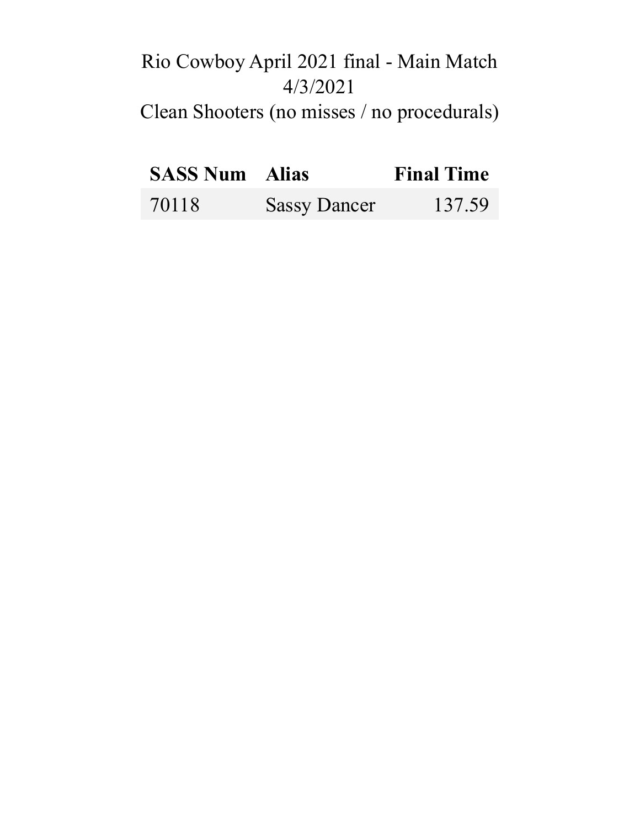# Rio Cowboy April 2021 final - Main Match 4/3/2021 Clean Shooters (no misses / no procedurals)

| <b>SASS Num</b> Alias |                     | <b>Final Time</b> |
|-----------------------|---------------------|-------------------|
| 70118                 | <b>Sassy Dancer</b> | 137.59            |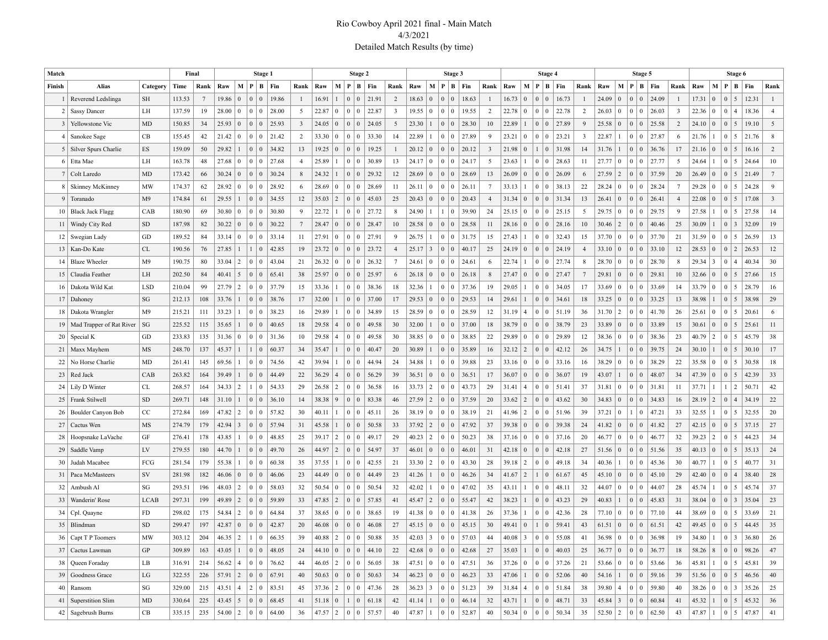#### Rio Cowboy April 2021 final - Main Match 4/3/2021 Detailed Match Results (by time)

| Match           |                               |                        | Final  |                 |                                                 |                 | Stage 1                           |       |                 |       |                 |                                           | Stage 2                                                                              |                |                |                 | Stage 3                                   |                                                                      |                 |                |                 | Stage 4              |                             |                 |                |                 |                | Stage 5                     |                 |                |                 | Stage 6             |                             |                 |
|-----------------|-------------------------------|------------------------|--------|-----------------|-------------------------------------------------|-----------------|-----------------------------------|-------|-----------------|-------|-----------------|-------------------------------------------|--------------------------------------------------------------------------------------|----------------|----------------|-----------------|-------------------------------------------|----------------------------------------------------------------------|-----------------|----------------|-----------------|----------------------|-----------------------------|-----------------|----------------|-----------------|----------------|-----------------------------|-----------------|----------------|-----------------|---------------------|-----------------------------|-----------------|
| Finish          | Alias                         | Category               | Time   | Rank            | Raw                                             | $M$ P           | B                                 | Fin   | Rank            | Raw   |                 |                                           | M   P   B   Fin                                                                      | Rank           | Raw            |                 | M   P   B   Fin                           |                                                                      | Rank            | Raw            |                 |                      | M   P   B   Fin             | Rank            | Raw            | M   P           |                | $B$   Fin                   | Rank            | Raw            | M   P           |                     | $B$   Fin                   | Rank            |
|                 | Reverend Ledslinga            | <b>SH</b>              | 113.53 | $7\phantom{.0}$ | 19.86                                           | $\overline{0}$  | $\mathbf{0}$<br>$\mathbf{0}$      | 19.86 | 1               | 16.91 | $\overline{1}$  | 0 <sup>1</sup>                            | 21.91                                                                                | 2              | 18.63          | $\overline{0}$  | $\Omega$<br>$\Omega$                      | 18.63                                                                | $\mathbf{1}$    | 16.73          | $\vert 0 \vert$ | $\Omega$<br>$\Omega$ | 16.73                       |                 | 24.09          | $\overline{0}$  | $\Omega$       | 24.09<br>$\Omega$           | $\mathbf{1}$    | 17.31          | $\overline{0}$  | $\Omega$<br>5       | 12.31                       | $\mathbf{1}$    |
| 2               | <b>Sassy Dancer</b>           | LH                     | 137.59 | 19              | 28.00                                           | $\overline{0}$  | $\mathbf{0}$<br>$\boldsymbol{0}$  | 28.00 | 5               | 22.87 | $\overline{0}$  | 0 <sup>1</sup>                            | 22.87                                                                                | 3              | 19.55          | $\overline{0}$  | 0 <sup>1</sup>                            | 19.55                                                                | 2               | 22.78          | $\bf{0}$        | 0 <sup>1</sup>       | 22.78                       | 2               | 26.03          | $\bf{0}$        | $\overline{0}$ | 26.03<br>$\theta$           | $\mathbf{3}$    | 22.36          | $\bf{0}$        | $\overline{0}$      | 18.36                       | $\overline{4}$  |
|                 | 3   Yellowstone Vic           | MD                     | 150.85 | 34              | 25.93                                           | $\overline{0}$  | $\overline{0}$<br>$\vert 0 \vert$ | 25.93 | $\mathbf{3}$    | 24.05 | $\overline{0}$  | 0 <sup>0</sup>                            | 24.05                                                                                | 5              | 23.30          |                 | 0 <sup>0</sup>                            | 28.30                                                                | 10              | 22.89          |                 |                      | 0   0   27.89               | 9               | 25.58          | $\overline{0}$  | $\overline{0}$ | 25.58<br>$\Omega$           | 2               | 24.10          | $\vert 0 \vert$ | $\overline{0}$<br>5 | 19.10                       | 5               |
| 4               | Sanokee Sage                  | CB                     | 155.45 | 42              | 21.42                                           | $\overline{0}$  | $\bf{0}$<br>$\boldsymbol{0}$      | 21.42 | $\overline{2}$  | 33.30 | $\overline{0}$  | 0 <sup>1</sup>                            | 33.30                                                                                | 14             | 22.89          |                 | 0 <sup>1</sup>                            | 27.89                                                                | 9               | 23.21          | $\bf{0}$        | 0 <sup>1</sup>       | 23.21                       | 3               | 22.87          |                 | $\overline{0}$ | 27.87<br>$\theta$           | 6               | 21.76          | $\overline{1}$  | $\overline{0}$<br>5 | 21.76                       | 8               |
|                 | 5   Silver Spurs Charlie      | ES                     | 159.09 | 50              | 29.82                                           |                 | $\mathbf{0}$<br>$\vert 0 \vert$   | 34.82 | 13              | 19.25 | $\vert 0 \vert$ | 0 <sup>1</sup>                            | 19.25                                                                                |                | 20.12          | $\overline{0}$  | 0 <sup>0</sup>                            | 20.12                                                                | 3               | 21.98          | $\mathbf{0}$    |                      | $ 0 $ 31.98                 | 14              | 31.76          |                 | $\Omega$       | $\Omega$<br>36.76           | 17              | 21.16          | $\vert 0 \vert$ | $\overline{0}$<br>5 | 16.16                       | 2               |
|                 | 6 Etta Mae                    | LH                     | 163.78 | 48              | 27.68                                           | $\overline{0}$  | $\bf{0}$<br>$\mathbf{0}$          | 27.68 | $\overline{4}$  | 25.89 |                 | 0 <sup>1</sup>                            | 30.89                                                                                | 13             | 24.17          | $\vert 0 \vert$ | 0 <sup>1</sup><br>$\overline{0}$          | 24.17                                                                | 5               | 23.63          |                 |                      | 0   0   28.63               | 11              | 27.77          | $\vert 0 \vert$ | $\Omega$       | 27.77<br>$\theta$           | 5               | 24.64          | $\overline{1}$  | $\overline{0}$<br>5 | 24.64                       | 10              |
|                 | 7 Colt Laredo                 | MD                     | 173.42 | 66              | 30.24                                           | $\overline{0}$  | $\overline{0}$<br>$\vert 0 \vert$ | 30.24 | 8               | 24.32 |                 | 0 <sup>1</sup>                            | 29.32                                                                                | 12             | 28.69          | $\overline{0}$  | 0 <sup>0</sup>                            | 28.69                                                                | 13              | 26.09          | $\mathbf{0}$    |                      | 0   0   26.09               | 6               | 27.59          | $\overline{2}$  | $\Omega$       | $\Omega$<br>37.59           | 20              | 26.49          | $\vert 0 \vert$ | 0 <sup>1</sup><br>5 | 21.49                       | $7\phantom{.0}$ |
|                 | 8   Skinney McKinney          | MW                     | 174.37 | 62              | 28.92                                           | $\overline{0}$  | $\bf{0}$<br>$\mathbf{0}$          | 28.92 | 6               | 28.69 | $\overline{0}$  | 0 <sup>1</sup>                            | 28.69                                                                                | 11             | 26.11          | $\overline{0}$  | 0 <sup>1</sup><br>$\overline{0}$          | 26.11                                                                | $7\phantom{.0}$ | 33.13          |                 |                      | 0   0   38.13               | 22              | 28.24          | $\bf{0}$        | $\Omega$       | 28.24<br>$\theta$           | $7\phantom{.0}$ | 29.28          | $\overline{0}$  | $\overline{0}$<br>5 | 24.28                       | 9               |
|                 | 9 Toranado                    | M <sub>9</sub>         | 174.84 | 61              | 29.55                                           |                 | $\overline{0}$<br>$\vert 0 \vert$ | 34.55 | 12              | 35.03 | $\overline{2}$  | 0 <sup>1</sup>                            | 45.03                                                                                | 25             | 20.43          | $\vert 0 \vert$ | 0 <sup>0</sup>                            | 20.43                                                                | $\overline{4}$  | 31.34          | $\vert 0 \vert$ |                      | 0   0   31.34               | 13              | 26.41          | $\overline{0}$  | $\mathbf{0}$   | $\Omega$<br>26.41           | $\overline{4}$  | 22.08          | $\overline{0}$  | $\theta$<br>5       | 17.08                       | $\overline{3}$  |
| 10 <sup>1</sup> | <b>Black Jack Flagg</b>       | CAB                    | 180.90 | 69              | 30.80                                           | $\overline{0}$  | $\bf{0}$<br>$\mathbf{0}$          | 30.80 | 9               | 22.72 |                 | 0 <sup>1</sup>                            | 27.72                                                                                | 8              | 24.90          |                 | $\overline{0}$                            | 39.90                                                                | 24              | 25.15          | $\vert 0 \vert$ |                      | $0 \mid 0 \mid 25.15$       | 5               | 29.75          | $\vert 0 \vert$ | $\bf{0}$       | 29.75<br>$\theta$           | 9               | 27.58          | $\overline{1}$  | 0 <sup>1</sup><br>5 | 27.58                       | 14              |
|                 | 11   Windy City Red           | ${\rm SD}$             | 187.98 | 82              | 30.22                                           | $\overline{0}$  | $\mathbf{0}$<br>$\boldsymbol{0}$  | 30.22 | $7\phantom{.0}$ | 28.47 | $\vert 0 \vert$ | 0 <sup>1</sup>                            | 28.47                                                                                | 10             | 28.58          | $\mathbf{0}$    | 0 <sup>0</sup>                            | 28.58                                                                | 11              | 28.16          | $\vert 0 \vert$ |                      | 0   0   28.16               | 10              | 30.46          | $\overline{2}$  | $\overline{0}$ | $\Omega$<br>40.46           | 25              | 30.09          | $\overline{1}$  | $0 \mid 3$          | 32.09                       | 19              |
|                 | 12   Swegian Lady             | GD                     | 189.52 | 84              | 33.14                                           | $\overline{0}$  | $\bf{0}$<br>$\bf{0}$              | 33.14 | 11              | 27.91 | $\overline{0}$  | 0 <sup>1</sup>                            | 27.91                                                                                | 9              | 26.75          |                 | 0 <sup>1</sup>                            | 31.75                                                                | 15              | 27.43          |                 |                      | 0   0   32.43               | 15              | 37.70          | $\bf{0}$        | $\Omega$       | 37.70<br>$\Omega$           | 21              | 31.59          | $\overline{0}$  | $\overline{0}$<br>5 | 26.59                       | 13              |
|                 | 13   Kan-Do Kate              | CL                     | 190.56 | 76              | 27.85                                           |                 | $\mathbf{1}$<br>$\boldsymbol{0}$  | 42.85 | 19              | 23.72 | $\vert 0 \vert$ | 0 <sup>1</sup>                            | 23.72                                                                                | $\overline{4}$ | 25.17          | $\overline{3}$  | 0 <sup>0</sup>                            | 40.17                                                                | 25              | 24.19          | $\vert 0 \vert$ |                      | 0   0   24.19               | $\overline{4}$  | 33.10          | $\mathbf{0}$    | $\mathbf{0}$   | 33.10<br>$\Omega$           | 12              | 28.53          | $\vert 0 \vert$ | $\overline{0}$<br>2 | 26.53                       | 12              |
| 14              | <b>Blaze Wheeler</b>          | M <sub>9</sub>         | 190.75 | 80              | 33.04                                           | $\vert 2 \vert$ | $\theta$<br>$\mathbf{0}$          | 43.04 | 21              | 26.32 | $\vert 0 \vert$ | 0 <sup>1</sup>                            | 26.32                                                                                | $\overline{7}$ | 24.61          | $\overline{0}$  | 0 <sup>1</sup>                            | 24.61                                                                | 6               | 22.74          |                 |                      | 0   0   27.74               | 8               | 28.70          | $\bf{0}$        | $\bf{0}$       | 28.70<br>$\theta$           | 8               | 29.34          | $\overline{3}$  | $\overline{0}$      | 40.34                       | 30              |
|                 | 15   Claudia Feather          | LH                     | 202.50 | 84              | 40.41                                           | $\frac{5}{5}$   | $\overline{0}$<br>$\vert 0 \vert$ | 65.41 | 38              | 25.97 | $\vert 0 \vert$ | 0 <sup>1</sup>                            | 25.97                                                                                | 6              | 26.18          | $\overline{0}$  | 0 <sup>0</sup>                            | 26.18                                                                | 8               | 27.47          | $\vert 0 \vert$ |                      | 0   0   27.47               | $7\phantom{.0}$ | 29.81          | $\overline{0}$  | $\overline{0}$ | 29.81<br>$\Omega$           | 10              | 32.66          | $\vert 0 \vert$ | 0 <sup>1</sup><br>5 | 27.66                       | 15              |
| 16              | Dakota Wild Kat               | <b>LSD</b>             | 210.04 | 99              | 27.79                                           | $\vert 2 \vert$ | $\mathbf{0}$<br>$\bf{0}$          | 37.79 | 15              | 33.36 |                 | 0 <sup>1</sup>                            | 38.36                                                                                | 18             | 32.36          |                 | 0 <sup>1</sup><br>$\overline{0}$          | 37.36                                                                | 19              | 29.05          |                 | 0 <sup>1</sup>       | 34.05                       | 17              | 33.69          | $\bf{0}$        | $\overline{0}$ | 33.69<br>$\theta$           | 14              | 33.79          | $\vert 0 \vert$ | $\overline{0}$<br>5 | 28.79                       | 16              |
|                 | 17   Dahoney                  | SG                     | 212.13 | 108             | 33.76                                           |                 | $\overline{0}$<br>$\vert 0 \vert$ | 38.76 | 17              | 32.00 |                 | 0 <sup>1</sup>                            | 37.00                                                                                | 17             | 29.53          | $\vert 0 \vert$ | 0 <sup>0</sup>                            | 29.53                                                                | 14              | 29.61          |                 | 0 <sup>0</sup>       | 34.61                       | 18              | 33.25          | $\mathbf{0}$    | $\overline{0}$ | 33.25<br>$\Omega$           | 13              | 38.98          | $\mathbf{1}$    | $\Omega$<br>5       | 38.98                       | 29              |
|                 | 18   Dakota Wrangler          | M <sub>9</sub>         | 215.21 | 111             | 33.23                                           |                 | $\bf{0}$<br>$\bf{0}$              | 38.23 | 16              | 29.89 |                 | 0 <sup>1</sup>                            | 34.89                                                                                | 15             | 28.59          | $\overline{0}$  | 0 <sup>1</sup>                            | 28.59                                                                | 12              | 31.19          | $\overline{4}$  |                      | 0   0   51.19               | 36              | 31.70          | $\overline{2}$  | $\overline{0}$ | $\theta$<br>41.70           | 26              | 25.61          | $\vert 0 \vert$ | $\overline{0}$<br>5 | 20.61                       | 6               |
|                 | 19   Mad Trapper of Rat River | SG                     | 225.52 | 115             | 35.65                                           |                 | $\overline{0}$<br>$\vert 0 \vert$ | 40.65 | 18              | 29.58 | $\vert$ 4       | 0 <sup>0</sup>                            | 49.58                                                                                | 30             | 32.00          |                 | 0 <sup>0</sup>                            | 37.00                                                                | 18              | 38.79          | $\vert 0 \vert$ | 0 <sup>0</sup>       | 38.79                       | 23              | 33.89          | $\mathbf{0}$    | $\Omega$       | 33.89<br>$\Omega$           | 15              | 30.61          | $\vert 0 \vert$ | 0 <sup>1</sup><br>5 | 25.61                       | 11              |
|                 | $20$ Special K                | GD                     | 233.83 | 135             | $31.36 \mid 0$                                  |                 | $\overline{0}$<br>$\bf{0}$        | 31.36 | 10              | 29.58 | $\overline{4}$  | 0 <sup>1</sup>                            | 49.58                                                                                | 30             | 38.85          | $\overline{0}$  | 0 <sup>1</sup>                            | 38.85                                                                | 22              | 29.89          | $\vert 0 \vert$ |                      | 0   0   29.89               | 12              | 38.36          | $\overline{0}$  | $\overline{0}$ | 38.36<br>$\Omega$           | 23              | 40.79          | $\vert 2 \vert$ | $\overline{0}$<br>5 | 45.79                       | 38              |
|                 | 21   Maxx Mayhem              | MS                     | 248.70 | 137             | 45.37 1                                         |                 | $\mathbf{1}$<br>$\overline{0}$    | 60.37 | 34              | 35.47 |                 | 0 <sup>0</sup>                            | 40.47                                                                                | 20             | 30.89          |                 | 0 <sup>0</sup>                            | 35.89                                                                | 16              | 32.12          | $\overline{2}$  | 0 <sup>0</sup>       | 42.12                       | 26              | 34.75          |                 | $\mathbf{0}$   | 39.75<br>$\Omega$           | 24              | 30.10          | $\vert$ 1       | 0 <sup>1</sup><br>5 | 30.10                       | 17              |
| 22              | No Horse Charlie              | MD                     | 261.41 | 145             | 69.56                                           |                 | $\mathbf{0}$<br>$\boldsymbol{0}$  | 74.56 | 42              | 39.94 |                 | 0 <sup>1</sup>                            | 44.94                                                                                | 24             | 34.88          |                 | 0 <sup>1</sup><br>$\overline{0}$          | 39.88                                                                | 23              | 33.16          | $\vert 0 \vert$ | 0 <sup>1</sup>       | 33.16                       | 16              | 38.29          | $\Omega$        | $\Omega$       | 38.29<br>$\Omega$           | 22              | 35.58          | $\bf{0}$        | $\overline{0}$<br>5 | 30.58                       | 18              |
| 23              | Red Jack                      | CAB                    | 263.82 | 164             | 39.49                                           |                 | $\overline{0}$<br>$\vert 0 \vert$ | 44.49 | 22              | 36.29 | $\vert$ 4       | 0 <sup>1</sup>                            | 56.29                                                                                | 39             | 36.51          | $\overline{0}$  | 0 <sup>0</sup>                            | 36.51                                                                | 17              | 36.07          | $\vert 0 \vert$ | 0 <sup>0</sup>       | 36.07                       | 19              | 43.07          |                 | $\Omega$       | 48.07<br>$\Omega$           | 34              | 47.39          | $\vert 0 \vert$ | $\overline{0}$<br>5 | 42.39                       | 33              |
| 24              | Lily D Winter                 | CL.                    | 268.57 | 164             | 34.33                                           | $\vert 2 \vert$ | $\mathbf{1}$<br>$\vert 0 \vert$   | 54.33 | 29              | 26.58 | $\overline{2}$  | 0 <sup>1</sup>                            | 36.58                                                                                | 16             | 33.73          | 2               | 0 <sup>1</sup>                            | 43.73                                                                | 29              | 31.41          | $\overline{4}$  |                      | 0   0   51.41               | 37              | 31.81          | $\bf{0}$        | $\bf{0}$       | 31.81<br>$\theta$           | 11              | 37.71          | $\overline{1}$  | $1 \mid 2$          | 50.71                       | 42              |
|                 | 25   Frank Stilwell           | ${\rm SD}$             | 269.71 | 148             | $31.10 \mid 1$                                  |                 | $\mathbf{0}$<br>$\vert 0 \vert$   | 36.10 | 14              | 38.38 | $\vert$ 9       | 0 <sup>1</sup>                            | 83.38                                                                                | 46             | 27.59          | 2               | 0 <sup>0</sup>                            | 37.59                                                                | 20              | 33.62          | $\overline{2}$  | 0 <sup>0</sup>       | 43.62                       | 30              | 34.83          | $\overline{0}$  | $\mathbf{0}$   | 34.83<br>$\Omega$           | 16              | 28.19          | $\vert 2 \vert$ | $\overline{0}$      | 34.19                       | 22              |
| 26              | Boulder Canyon Bob            | CC                     | 272.84 | 169             | 47.82                                           | $\vert 2 \vert$ | $\mathbf{0}$<br>$\bf{0}$          | 57.82 | 30              | 40.11 | $\overline{1}$  | 0 <sup>1</sup>                            | 45.11                                                                                | 26             | 38.19          | $\overline{0}$  | 0 <sup>1</sup>                            | 38.19                                                                | 21              | 41.96          | $\overline{2}$  |                      | 0   0   51.96               | 39              | 37.21          | $\bf{0}$        |                | 47.21<br>$\mathbf{0}$       | 33              | 32.55          | $\overline{1}$  | $\overline{0}$<br>5 | 32.55                       | 20              |
|                 | 27   Cactus Wen               | MS                     | 274.79 | 179             | 42.94                                           | $\vert 3 \vert$ | $\overline{0}$<br>$\vert 0 \vert$ | 57.94 | 31              | 45.58 |                 | 0 <sup>1</sup>                            | 50.58                                                                                | 33             | 37.92          | 2               | 0 <sup>0</sup>                            | 47.92                                                                | 37              | 39.38          | $\vert 0 \vert$ | 0 <sup>1</sup>       | 39.38                       | 24              | 41.82          | $\overline{0}$  | $\Omega$       | $\Omega$<br>41.82           | 27              | 42.15          | $\vert 0 \vert$ | 0 <sup>1</sup><br>5 | 37.15                       | 27              |
| 28              | Hoopsnake LaVache             | GF                     | 276.41 | 178             | 43.85                                           |                 | $\mathbf{0}$<br>$\mathbf{0}$      | 48.85 | 25              | 39.17 | $\overline{2}$  | 0 <sup>1</sup>                            | 49.17                                                                                | 29             | 40.23          | 2               | 0 <sup>1</sup>                            | 50.23                                                                | 38              | 37.16          | $\vert 0 \vert$ | 0 <sup>1</sup>       | 37.16                       | 20              | 46.77          | $\bf{0}$        | $\Omega$       | $\Omega$<br>46.77           | 32              | 39.23          | $\vert 2 \vert$ | $\overline{0}$<br>5 | 44.23                       | 34              |
|                 | 29   Saddle Vamp              | LV                     | 279.55 | 180             | 44.70                                           |                 | $\overline{0}$<br>$\vert 0 \vert$ | 49.70 | 26              | 44.97 | $\vert 2 \vert$ | 0 <sup>1</sup>                            | 54.97                                                                                | 37             | 46.01          | $\overline{0}$  | 0 <sup>0</sup>                            | 46.01                                                                | 31              | 42.18          | $\vert 0 \vert$ | 0 <sup>1</sup>       | 42.18                       | 27              | 51.56          | $\overline{0}$  | $\overline{0}$ | $\overline{0}$<br>51.56     | 35              | 40.13          | $\vert 0 \vert$ | $\overline{0}$<br>5 | 35.13                       | 24              |
|                 | 30 Judah Macabee              | FCG                    | 281.54 | 179             | 55.38                                           |                 | $\mathbf{0}$<br>$\theta$          | 60.38 | 35              | 37.55 | $\overline{1}$  | 0 <sup>1</sup>                            | 42.55                                                                                | 21             | 33.30          | 2               | 0 <sup>1</sup><br>$\overline{0}$          | 43.30                                                                | 28              | 39.18          | $\overline{2}$  | 0 <sup>1</sup>       | 49.18                       | 34              | 40.36          |                 | $\mathbf{0}$   | 45.36<br>$\Omega$           | 30              | 40.77          | $\overline{1}$  | $\overline{0}$<br>5 | 40.77                       | 31              |
|                 | 31   Paca McMasteers          | <b>SV</b>              | 281.98 | 182             | $46.06 \,   \, 0$                               |                 | $\overline{0}$<br>$\vert 0 \vert$ | 46.06 | 23              | 44.49 | $\vert 0 \vert$ | 0 <sup>1</sup>                            | 44.49                                                                                | 23             | 41.26          |                 | 0 <sup>0</sup>                            | 46.26                                                                | 34              | 41.67          | $\overline{2}$  | $\overline{0}$       | 61.67                       | 45              | 45.10          | $\vert 0 \vert$ | $\Omega$       | 45.10<br>$\Omega$           | 29              | 42.40          | $\vert 0 \vert$ | $\overline{0}$      | 38.40                       | 28              |
| 32              | Ambush Al                     | SG                     | 293.51 | 196             | 48.03                                           | $\vert 2 \vert$ | $\mathbf{0}$<br>$\mathbf{0}$      | 58.03 | 32              | 50.54 | $\vert 0 \vert$ | 0 <sup>1</sup>                            | 50.54                                                                                | 32             | 42.02          |                 | 0 <sup>1</sup>                            | 47.02                                                                | 35              | 43.11          |                 | 0 <sup>0</sup>       | 48.11                       | 32              | 44.07          | $\overline{0}$  | $\overline{0}$ | $\Omega$<br>44.07           | 28              | 45.74          | $\overline{1}$  | $\overline{0}$<br>5 | 45.74                       | 37              |
| 33              | Wanderin' Rose                | LCAB                   | 297.31 | 199             | $49.89$   2                                     |                 | $\overline{0}$<br>$\vert 0 \vert$ | 59.89 | 33              | 47.85 | $\vert 2 \vert$ | 0 <sup>1</sup>                            | 57.85                                                                                | 41             | 45.47          | 2               | 0 <sup>0</sup>                            | 55.47                                                                | 42              | 38.23          |                 | 0 <sup>1</sup>       | 43.23                       | 29              | 40.83          |                 | $\Omega$       | 45.83<br>$\Omega$           | 31              | 38.04          | $\mathbf{0}$    | $\overline{0}$<br>3 | 35.04                       | 23              |
|                 | 34   Cpl. Quayne              | FD                     | 298.02 | 175             | 54.84                                           | 2               | $\theta$<br>$\mathbf{0}$          | 64.84 | 37              | 38.65 | $\overline{0}$  | 0 <sup>1</sup>                            | 38.65                                                                                | 19             | 41.38          | $\overline{0}$  | 0 <sup>1</sup><br>$\theta$                | 41.38                                                                | 26              | 37.36          |                 | 0 <sup>1</sup>       | 42.36                       | 28              | 77.10          | $\Omega$        | $\Omega$       | 77.10<br>$\Omega$           | 44              | 38.69          | $\theta$        | $\Omega$            | 33.69                       | 21              |
|                 | 35   Blindman                 | ${\rm SD}$             | 299.47 | 197             | $42.87$   0                                     |                 |                                   | 42.87 | 20              | 46.08 | $\vert 0 \vert$ | $\begin{array}{c c} 0 & 0 \\ \end{array}$ | 46.08                                                                                | 27             | 45.15          | $\vert 0 \vert$ | $\begin{array}{c c} 0 & 0 \\ \end{array}$ | 45.15                                                                | 30              | 49.41          | $\vert 0 \vert$ |                      | 1   0   59.41               | 43              | 61.51          | $\vert 0 \vert$ | 0 <sup>1</sup> | 61.51                       | 42              | $49.45 \mid 0$ |                 |                     | 44.45                       | 35              |
|                 | 36   Capt T P Toomers         | MW                     | 303.12 | 204             | $46.35$   2   1   0                             |                 |                                   | 66.35 | 39              |       |                 |                                           | $40.88$   2   0   0   50.88                                                          | 35             | $42.03 \mid 3$ |                 |                                           | 0 0 57.03                                                            | 44              | $40.08$   3    |                 |                      | 0 0 55.08                   | 41              | $36.98 \mid 0$ |                 |                | 0 0 36.98                   | 19              |                |                 |                     | $34.80$   1   0   3   36.80 | 26              |
|                 | 37 Cactus Lawman              | $\rm GP$               | 309.89 | 163             | $43.05$   1   0   0                             |                 |                                   | 48.05 | 24              |       |                 |                                           | 44.10 $\begin{array}{ c c c c c c c c } \hline 0 & 0 & 0 & 44.10 \hline \end{array}$ | 22             |                |                 |                                           | 42.68 0 0 0 42.68                                                    | 27              | 35.03          |                 |                      | 0 0 40.03                   | 25              |                |                 |                | $36.77$   0   0   0   36.77 | 18              |                |                 |                     | $58.26$   8   0   0   98.26 | 47              |
|                 | 38 Queen Foraday              | LB                     | 316.91 | 214             | $56.62$   4   0   0                             |                 |                                   | 76.62 | 44              |       |                 |                                           | 46.05   2   0   0   56.05                                                            | 38             |                |                 |                                           | 47.51 0 0 0 47.51                                                    | 36              |                |                 |                      | $37.26$ 0 0 0 37.26         | 21              | $53.66$ 0      |                 |                | 0 0 53.66                   | 36              | $45.81$   1    |                 |                     | 0 5 45.81                   | 39              |
|                 | 39 Goodness Grace             | $_{\rm LG}$            | 322.55 | 226             | 57.91 2 0 0                                     |                 |                                   | 67.91 | 40              |       |                 |                                           | $50.63$ 0 0 0 50.63                                                                  | 34             |                |                 |                                           | 46.23 0 0 0 46.23                                                    | 33              | 47.06          | $\perp$         |                      | 0 0 52.06                   | 40              | $54.16$   1    |                 |                | 0 0 59.16                   | 39              |                |                 |                     | $51.56$   0   0   5   46.56 | 40              |
|                 | 40   Ransom                   | $\mathbf{S}\mathbf{G}$ | 329.00 | 215             | 43.51 $\begin{vmatrix} 4 & 2 & 0 \end{vmatrix}$ |                 |                                   | 83.51 | 45              |       |                 |                                           | $37.36$ 2 0 0 47.36                                                                  | 28             |                |                 |                                           | $36.23$ 3 0 0 51.23                                                  | 39              |                |                 |                      | $31.84$   4   0   0   51.84 | 38              | $39.80 \mid 4$ |                 |                | 0 0 59.80                   | 40              | $38.26 \mid 0$ |                 |                     | 0 3 35.26                   | 25              |
|                 | 41   Superstition Slim        | MD                     | 330.64 | 225             | $43.45$ 5 0 0                                   |                 |                                   | 68.45 | 41              |       |                 |                                           | $51.18$ 0 1 0 61.18                                                                  | 42             | $41.14$   1    |                 |                                           | $\begin{array}{ c c c c c } \hline 0 & 0 & 46.14 \hline \end{array}$ | 32              | $43.71$   1    |                 |                      | 0 0 48.71                   | 33              |                |                 |                | 45.84 3 0 0 60.84           | 41              |                |                 |                     | $45.32$   1   0   5   45.32 | 36              |
|                 | 42   Sagebrush Burns          | $_{\rm CB}$            | 335.15 | 235             | $54.00$   2   0   0                             |                 |                                   | 64.00 | 36              |       |                 |                                           | 47.57 2 0 0 57.57                                                                    | 40             | 47.87          | $\perp$         |                                           | $0 \mid 0 \mid 52.87$                                                | 40              | $50.34 \mid 0$ |                 |                      | $0 \mid 0 \mid 50.34$       | 35              |                |                 |                | $52.50$   2   0   0   62.50 | 43              | $47.87$   1    |                 |                     | 0 5 47.87                   | 41              |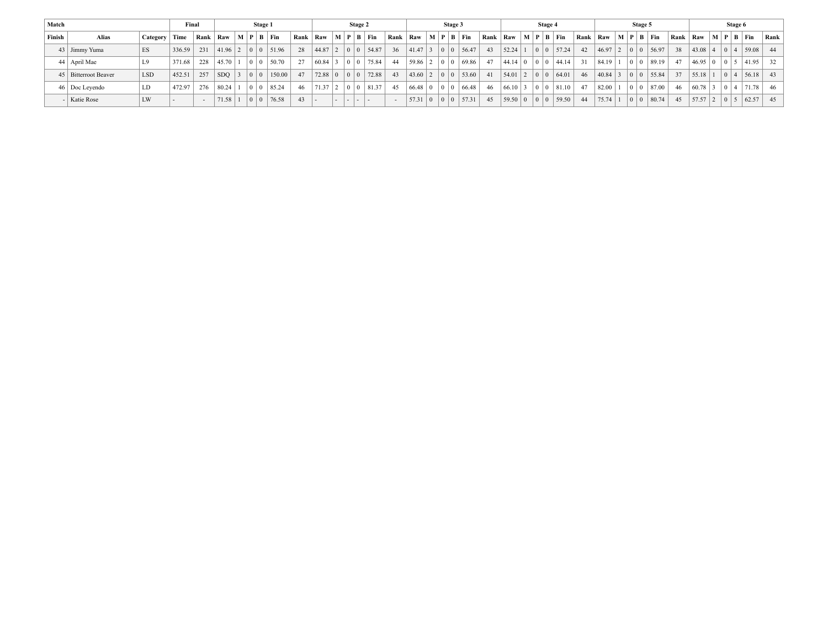| Match  |                      |                 | Final  |      |            |                                           | Stage 1               |              |                        |                                           | Stage 2 |      |             |                                           | Stage 3 |                       |      |             |                       |                                           | Stage 4 |       |      |                   |                                           | Stage 5                 |       |    |                   |                                                                 | Stage 6 |        |              |
|--------|----------------------|-----------------|--------|------|------------|-------------------------------------------|-----------------------|--------------|------------------------|-------------------------------------------|---------|------|-------------|-------------------------------------------|---------|-----------------------|------|-------------|-----------------------|-------------------------------------------|---------|-------|------|-------------------|-------------------------------------------|-------------------------|-------|----|-------------------|-----------------------------------------------------------------|---------|--------|--------------|
| Finish | Alias                | Category   Time |        | Rank | $Raw$ .    |                                           | $M$   $P$   $B$   Fin |              | Rank   Raw   M   P   B |                                           | Fin     | Rank | Raw         |                                           |         | $M$   $P$   $B$   Fin | Rank | Raw         | $M$   $P$   $B$   Fin |                                           |         |       | Rank | Raw               |                                           | $M$   $P$   $B$   $Fin$ |       |    | Rank   Raw        | $\mid M \mid P \mid B \mid Fin$                                 |         |        | <b>Rank</b>  |
|        | 43 Jimmy Yuma        | <b>ES</b>       | 336.59 | 231  | $1.96$   2 |                                           | 0 0 51.96             | 28           | $44.87$   2            | $\begin{array}{c c} 0 & 0 \\ \end{array}$ | 54.87   | 36   | 41.47 3     | $\begin{array}{c c} 0 & 0 \\ \end{array}$ |         | 56.47                 | 43   | 52.24       |                       | $\begin{array}{c c} 0 & 0 \\ \end{array}$ |         | 57.24 | 42   | 46.97 2 0 0 56.97 |                                           |                         |       | 38 | 43.08 4 0 4       |                                                                 |         | 59.08  | 44           |
|        | 44   April Mae       |                 | 371.68 | 228  | 45.70      | $\begin{array}{c c} 0 & 0 \\ \end{array}$ | 50.70                 | 27           | $60.84$ 3              | 0 <sup>10</sup>                           | 75.84   | 44   | $59.86$   2 | $\begin{array}{c c} 0 & 0 \\ \end{array}$ |         | 69.86                 | 47   | 44.14 0     |                       |                                           |         | 44.14 | 31   | 84.19 1 0 0 89.19 |                                           |                         |       | 47 | $46.95 \,   \, 0$ |                                                                 |         |        | 0 5 41.95 32 |
|        | 45 Bitterroot Beaver | <b>LSD</b>      | 452.51 | 257  | <b>SDO</b> | $\begin{array}{c c} 0 & 0 \\ \end{array}$ |                       | 150.00<br>47 | 72.88                  | $\overline{0}$                            | 72.88   | 43   | 43.60 2     |                                           |         | 53.60                 | 41   | $54.01$   2 |                       |                                           |         | 64.01 | 46   | 40.84 3           | $\begin{array}{c c} 0 & 0 \\ \end{array}$ | 55.84                   |       | 37 | $55.18$   1       | $\begin{array}{ c c c c c } \hline 0 & 4 \\ \hline \end{array}$ |         | 56.18  | 43           |
|        | 46   Doc Leyendo     | LD              | 472.97 | 276  | 80.24      | $\begin{array}{c c} 0 & 0 \\ \end{array}$ | 85.24                 | 46           | $71.37$   2            | $\overline{0}$                            | 81.37   | 45   | $66.48$   0 |                                           |         | 66.48                 | 46   | $66.10$ 3   |                       |                                           |         | 81.10 | 47   | 82.00             | $\sqrt{2}$                                |                         | 87.00 | 46 | 60.78 3           | $\begin{array}{ c c c } \hline 0 & 4 \\ \hline \end{array}$     |         | '71.78 | 46           |
|        | - Katie Rose         | LW              |        |      | 71.58      | $\begin{array}{c c} 0 & 0 \\ \end{array}$ |                       | 76.58<br>43  |                        |                                           | .       |      | 57.31 0     |                                           |         | 57.31                 | 45   | 59.50 0     |                       | 0 <sup>1</sup>                            |         | 59.50 | 44   | $75.74$ 1         |                                           | 0 0 80.74               |       | 45 | $57.57$ 2         | $\begin{array}{c c} 0 & 5 \end{array}$                          |         | 62.57  | 45           |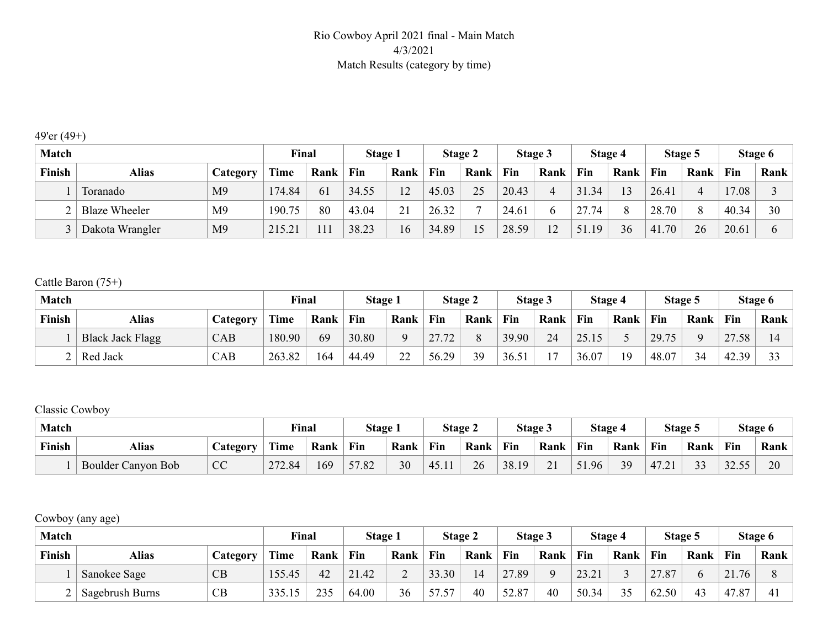#### Rio Cowboy April 2021 final - Main Match 4/3/2021 Match Results (category by time)

#### 49'er (49+)

| <b>Match</b> |                      |                | Final       |      | <b>Stage 1</b> |                                           |       | Stage 2 |       | Stage 3 |           | Stage 4 |       | Stage 5 |       | Stage 6 |
|--------------|----------------------|----------------|-------------|------|----------------|-------------------------------------------|-------|---------|-------|---------|-----------|---------|-------|---------|-------|---------|
| Finish       | <b>Alias</b>         | Category       | <b>Time</b> | Rank | Fin            | Rank                                      | Fin   | Rank    | Fin   | Rank    | Fin       | Rank    | Fin   | Rank    | Fin   | Rank    |
|              | Toranado             | M <sub>9</sub> | 174.84      | 61   | 34.55          | 12<br>∸                                   | 45.03 | 25      | 20.43 |         | 31.34     | 13      | 26.41 |         | 17.08 |         |
|              | <b>Blaze Wheeler</b> | M <sub>9</sub> | 190.75      | 80   | 43.04          | $\bigcap$ 1<br>$\overline{\phantom{a}}$ . | 26.32 |         | 24.61 |         | 27.74     | 8       | 28.70 | $\circ$ | 40.34 | 30      |
|              | Dakota Wrangler      | M <sub>9</sub> | 215.21      | 111  | 38.23          | 16                                        | 34.89 | 15      | 28.59 | 12      | .19<br>51 | 36      | 41.70 | 26      | 20.61 |         |

#### Cattle Baron (75+)

| <b>Match</b> |                         |          | Final       |      | Stage 1 |          |       | <b>Stage 2</b> |       | Stage 3                  |       | Stage 4 |       | Stage 5 |                                       | Stage 6   |
|--------------|-------------------------|----------|-------------|------|---------|----------|-------|----------------|-------|--------------------------|-------|---------|-------|---------|---------------------------------------|-----------|
| Finish       | Alias                   | Category | <b>Time</b> | Rank | Fin     | Rank     | Fin   | Rank           | Fin   | Rank                     | Fin   | Rank    | Fin   | Rank    | Fin                                   | Rank      |
|              | <b>Black Jack Flagg</b> | CAB      | 180.90      | 69   | 30.80   | Q        | 27.72 |                | 39.90 | 24                       | 25.15 |         | 29.75 |         | 27<br>.58<br>$\overline{\phantom{a}}$ |           |
|              | Red Jack                | CAB      | 263.82      | 164  | 44.49   | 22<br>∠∠ | 56.29 | 39             | 36.51 | $\overline{\phantom{0}}$ | 36.07 | 19      | 48.07 | 34      | 42.39                                 | $\bigcap$ |

#### Classic Cowboy

| Match         |                           |                 | <b>Final</b> |      | Stage 1 |      |       | Stage 2 |       | Stage 3        |       | Stage 4 |       | Stage 5                  |             | Stage 6 |
|---------------|---------------------------|-----------------|--------------|------|---------|------|-------|---------|-------|----------------|-------|---------|-------|--------------------------|-------------|---------|
| <b>Finish</b> | <b>Alias</b>              | <i>_ategory</i> | Time         | Rank | Fin     | Rank | Fin   | Rank    | Fin   | Rank           | Fin   | Rank    | Fin   | Rank                     | Fin         | Rank    |
|               | <b>Boulder Canyon Bob</b> | <b>CC</b>       | 272.84       | 169  | 57.82   | 30   | 45.11 | 26      | 38.19 | 21<br>$\sim$ 1 | 51.96 | 39      | 47.21 | $\mathbf{\Omega}$<br>J J | 32.55<br>55 | 20      |

### Cowboy (any age)

| <b>Match</b> |                 |          | Final  |      | <b>Stage 1</b> |      |       | <b>Stage 2</b> |       | Stage 3  |       | Stage 4 |       | Stage 5 |           | Stage 6 |
|--------------|-----------------|----------|--------|------|----------------|------|-------|----------------|-------|----------|-------|---------|-------|---------|-----------|---------|
| Finish       | <b>Alias</b>    | Category | Time   | Rank | Fin            | Rank | Fin   | Rank           | Fin   | Rank     | Fin   | Rank    | Fin   | Rank    | Fin       | Rank    |
|              | Sanokee Sage    | CB       | 155.45 | 42   | 21.42          | ∼    | 33.30 | 14             | 27.89 | $\Omega$ | 23.21 |         | 27.87 | n       | .76<br>21 |         |
|              | Sagebrush Burns | CB       | 335.15 | 235  | 64.00          | 36   | 57.57 | 40             | 52.87 | 40       | 50.34 | 35      | 62.50 | 43      | 47<br>.87 |         |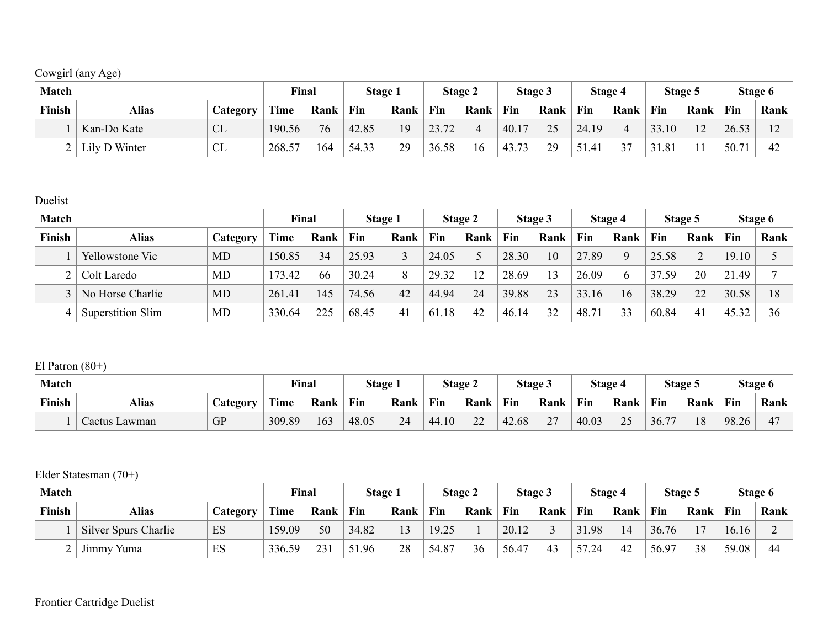## Cowgirl (any Age)

| <b>Match</b> |               |                  | Final  |      | Stage 1 |      |       | Stage 2 |        | Stage 3   |           | Stage 4 |            | Stage 5                |       | Stage 6      |
|--------------|---------------|------------------|--------|------|---------|------|-------|---------|--------|-----------|-----------|---------|------------|------------------------|-------|--------------|
| Finish       | Alias         | <i>L</i> ategory | Time   | Rank | Fin     | Rank | Fin   | Rank    | Fin    | Rank      | Fin       | Rank    | Fin        | Rank                   | Fin   | Rank         |
|              | Kan-Do Kate   | <b>CL</b>        | 190.56 | 76   | 42.85   | 19   | 23.72 |         | 40.17  | 25<br>ر ب | 24.19     | 4       | 33.10      | $1^{\circ}$<br>$\perp$ | 26.53 | $1^{\wedge}$ |
|              | Lily D Winter | CL               | 268.57 | 164  | 54.33   | 29   | 36.58 | .6      | 143.7. | 29        | 51<br>.41 | 37      | 31<br>1.81 |                        | 50.71 | 42           |

Duelist

| <b>Match</b> |                   |           | Final  |      | Stage 1 |      |       | Stage 2 |       | Stage 3 |                | Stage 4     |       | Stage 5 |            | Stage 6 |
|--------------|-------------------|-----------|--------|------|---------|------|-------|---------|-------|---------|----------------|-------------|-------|---------|------------|---------|
| Finish       | <b>Alias</b>      | Category  | Time   | Rank | Fin     | Rank | Fin   | Rank    | Fin   | Rank    | Fin            | Rank        | Fin   | Rank    | Fin        | Rank    |
|              | Yellowstone Vic   | <b>MD</b> | 150.85 | 34   | 25.93   |      | 24.05 | ∽.      | 28.30 | 10      | 27.89          | $\mathbf Q$ | 25.58 |         | 19.10      |         |
|              | Colt Laredo       | MD        | 173.42 | 66   | 30.24   | 8    | 29.32 | 12      | 28.69 | 13      | 26.09          | 6           | 37.59 | 20      | 1.49<br>21 |         |
|              | No Horse Charlie  | <b>MD</b> | 261.41 | 145  | 74.56   | 42   | 44.94 | 24      | 39.88 | 23      | 33.16          | 16          | 38.29 | 22      | 30.58      | 18      |
|              | Superstition Slim | MD        | 330.64 | 225  | 68.45   | 41   | 61.18 | 42      | 46.14 | 32      | $48.7^{\circ}$ | 33          | 60.84 | 41      | 45.32      | 36      |

El Patron  $(80+)$ 

| <b>Match</b>  |               |                  | <b>Final</b> |      | Stage 1 |      |       | <b>Stage 2</b> |       | Stage 3                        |            | Stage 4 |       | Stage 5 |       | Stage 6 |
|---------------|---------------|------------------|--------------|------|---------|------|-------|----------------|-------|--------------------------------|------------|---------|-------|---------|-------|---------|
| <b>Finish</b> | <b>Alias</b>  | <i>C</i> ategory | Time         | Rank | Fin     | Rank | Fin   | Rank           | Fin   | Rank                           | <b>Fin</b> | Rank    | Fin   | Rank    | Fin   | Rank    |
|               | Cactus Lawman | <b>GP</b>        | 309.89       | 163  | 48.05   | 24   | 44.10 | 22<br>∠∠       | 42.68 | 27<br>$\overline{\phantom{a}}$ | 40.03      | 25      | 36.77 | 18      | 98.26 | ∸       |

Elder Statesman (70+)

| <b>Match</b>  |                      |          | Final       |      | <b>Stage 1</b> |                |       | Stage 2 |       | <b>Stage 3</b> |       | Stage 4 |       | Stage 5        |       | Stage 6 |
|---------------|----------------------|----------|-------------|------|----------------|----------------|-------|---------|-------|----------------|-------|---------|-------|----------------|-------|---------|
| <b>Finish</b> | Alias                | Category | <b>Time</b> | Rank | Fin            | Rank           | Fin   | Rank    | Fin   | Rank           | Fin   | Rank    | Fin   | Rank           | Fin   | Rank    |
|               | Silver Spurs Charlie | ES       | 159.09      | 50   | 34.82          | 1 <sub>2</sub> | 19.25 |         | 20.12 |                | 31.98 | 14      | 36.76 | 1 <sub>7</sub> | 16.16 |         |
|               | Jimmy Yuma           | ES       | 336.59      | 231  | 51.96          | 28             | 54.87 | 36      | 56.47 | 43             | 57.24 | 42      | 56.97 | 38             | 59.08 | 44      |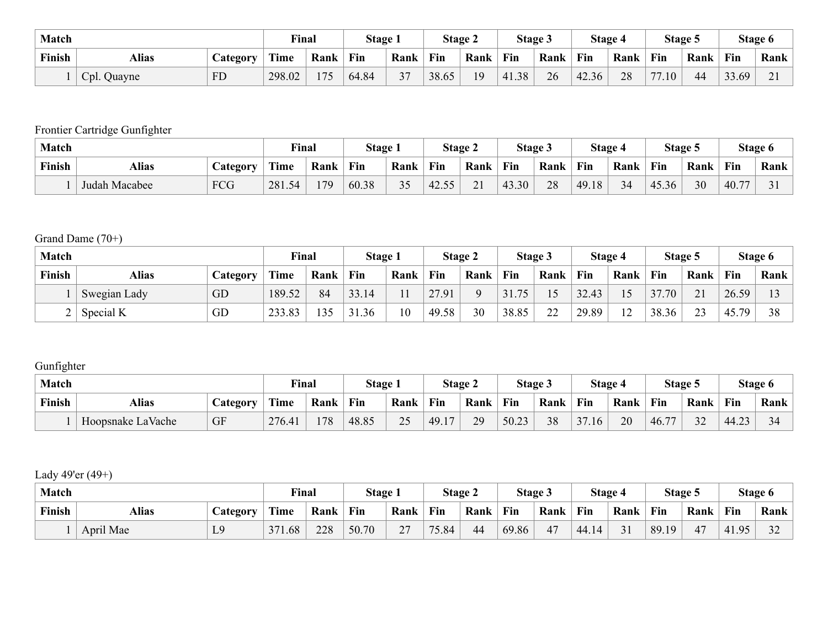| Match  |              |                 | <b>Final</b> |      | Stage 1 |                 |       | <b>Stage 2</b> | Stage 3 |      | Stage 4 |      |                        | Stage 5 |       | Stage 6  |
|--------|--------------|-----------------|--------------|------|---------|-----------------|-------|----------------|---------|------|---------|------|------------------------|---------|-------|----------|
| Finish | <b>Alias</b> | <b>Category</b> | Time         | Rank | Fin     | Rank            | Fin   | Rank           | Fin     | Rank | Fin     | Rank | Fin                    | Rank    | Fin   | Rank     |
|        | Cpl. Quayne  | <b>FD</b>       | 298.02       | 175  | 64.84   | $\mathbf{\sim}$ | 38.65 | 19             | 41.38   | 26   | 42.36   | 28   | 77<br>.10 <sub>l</sub> | 44      | 33.69 | $\sim$ 1 |

## Frontier Cartridge Gunfighter

| Match         |               |                 | <b>Final</b> |      | Stage 1    |      |       | <b>Stage 2</b>   |       | <b>Stage 3</b> |       | Stage 4 |       | Stage 5 |       | Stage 6 |
|---------------|---------------|-----------------|--------------|------|------------|------|-------|------------------|-------|----------------|-------|---------|-------|---------|-------|---------|
| <b>Finish</b> | <b>Alias</b>  | <b>Lategory</b> | Time         | Rank | <b>Fin</b> | Rank | Fin   | Rank             | Fin   | Rank           | Fin   | Rank    | Fin   | Rank    | Fin   | Rank    |
|               | Judah Macabee | <b>FCG</b>      | 281.54       | 179  | 60.38      | 35   | 42.55 | $\bigcap$ 1<br>▰ | 43.30 | 28             | 49.18 | 34      | 45.36 | 30      | 40.77 |         |

## Grand Dame (70+)

| <b>Match</b>   |              |                 | Final  |      | Stage 1 |      |       | Stage 2 |                 | Stage 3 |       | Stage 4        |       | Stage 5        |            | Stage 6 |
|----------------|--------------|-----------------|--------|------|---------|------|-------|---------|-----------------|---------|-------|----------------|-------|----------------|------------|---------|
| Finish         | Alias        | <b>Category</b> | Time   | Rank | Fin     | Rank | Fin   | Rank    | Fin             | Rank    | Fin   | Rank           | Fin   | Rank           | Fin        | Rank    |
|                | Swegian Lady | GD              | 189.52 | 84   | 33.14   |      | 27.91 |         | 75<br>J I . I J | 15      | 32.43 | 15             | 37.70 | 21             | 26.59      |         |
| $\overline{ }$ | Special K    | GD              | 233.83 | 135  | 31.36   | 10   | 49.58 | 30      | 38.85           | າາ      | 29.89 | 1 <sub>2</sub> | 38.36 | 2 <sub>2</sub> | 45.<br>.79 | 38      |

## **Gunfighter**

| <b>Match</b>  |                   |                  | <b>Final</b> |      | Stage 1 |            |         | Stage 2   |       | Stage 3 |       | Stage 4 |       | Stage 5 |                   | Stage 6 |
|---------------|-------------------|------------------|--------------|------|---------|------------|---------|-----------|-------|---------|-------|---------|-------|---------|-------------------|---------|
| <b>Finish</b> | Alias             | <i>_</i> ategory | Time         | Rank | Fin     | Rank       | Fin     | Rank      | Fin   | Rank    | Fin   | Rank    | Fin   | Rank    | Fin               | Rank    |
|               | Hoopsnake LaVache | GF               | 276.41       | 178  | 48.85   | 25<br>ں کے | (49.17) | 29<br>ر ب | 50.23 | 38      | 37.16 | 20      | 46.77 | 32      | 44.23<br>$\cdots$ |         |

### Lady 49'er (49+)

| <b>Match</b> |           |                  | <b>Final</b> |      | Stage 1 |                           |       | <b>Stage 2</b> |       | Stage 3 |       | Stage 4 |       | Stage 5 |       | Stage 6           |
|--------------|-----------|------------------|--------------|------|---------|---------------------------|-------|----------------|-------|---------|-------|---------|-------|---------|-------|-------------------|
| Finish       | Alias     | <i>L</i> ategory | Time         | Rank | Fin     | Rank                      | Fin   | Rank           | Fin   | Rank    | Fin   | Rank    | Fin   | Rank    | Fin   | Rank              |
|              | April Mae | L9               | 371.68       | 228  | 50.70   | $\mathcal{L}$<br>$\sim$ 1 | 75.84 | 44             | 69.86 | 47      | 44.14 | 31      | 89.19 | 47      | 41.95 | $\mathbf{\Omega}$ |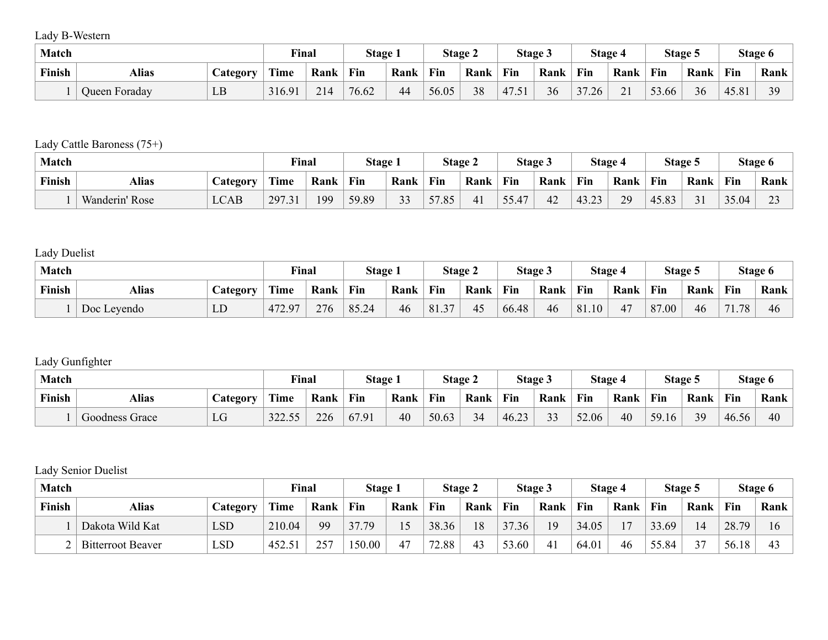Lady B-Western

| <b>Match</b>  |               |                 | <b>Final</b> |      | Stage 1 |      |       | <b>Stage 2</b> |       | Stage 3 | Stage 4                         |                        |       | Stage 5 |       | Stage 6 |
|---------------|---------------|-----------------|--------------|------|---------|------|-------|----------------|-------|---------|---------------------------------|------------------------|-------|---------|-------|---------|
| <b>Finish</b> | <b>Alias</b>  | <b>Lategory</b> | Time         | Rank | Fin     | Rank | Fin   | Rank           | Fin   | Rank    | Fin                             | Rank                   | Fin   | Rank    | Fin   | Rank    |
|               | Queen Foraday | LB              | 316.91       | 214  | 76.62   | 44   | 56.05 | 38             | 47.51 | 36      | 37.26<br>$\rightarrow$ $\prime$ | $\sim$ 1<br>$\angle$ 1 | 53.66 | 36      | 45.81 | 39      |

## Lady Cattle Baroness (75+)

| <b>Match</b>  |                |                        | Find                   |      | Stage 1 |      |       | Stage 2 |       | Stage 3 |                | Stage 4 |       | Stage 5       |       | Stage 6 |
|---------------|----------------|------------------------|------------------------|------|---------|------|-------|---------|-------|---------|----------------|---------|-------|---------------|-------|---------|
| <b>Finish</b> | Alias          | <i><b>Lategory</b></i> | Time                   | Rank | Fin     | Rank | Fin   | Rank    | Fin   | Rank    | Fin            | Rank    | Fin   | Rank          | Fin   | Rank    |
|               | Wanderin' Rose | $\angle$ CAB           | 297.31<br>$.3^{\circ}$ | 199  | 59.89   | 33   | 57.85 | 41      | 55.47 | 42      | 43.23<br>т.,∠. | 29      | 45.83 | $\sim$<br>- 1 | 35.04 | $\sim$  |

## Lady Duelist

| <b>Match</b> |              |          | <b>Final</b> |      | Stage 1 |      |       | <b>Stage 2</b> |       | Stage 3 | Stage 4 |      |       | Stage 5 |                | Stage 6 |
|--------------|--------------|----------|--------------|------|---------|------|-------|----------------|-------|---------|---------|------|-------|---------|----------------|---------|
| Finish       | <b>Alias</b> | Category | Time         | Rank | Fin     | Rank | Fin   | Rank           | Fin   | Rank    | Fin     | Rank | Fin   | Rank    | Fin            | Rank    |
|              | Doc Leyendo  | LD       | 472.97       | 276  | 85.24   | 46   | 81.37 | 45             | 66.48 | 46      | 81.10   | 47   | 87.00 | 46      | $\sim$ 1<br>78 | 46      |

### Lady Gunfighter

| Match  |                |                 | <b>Final</b> |      | Stage 1 |      |       | Stage 2 |       | Stage 3           |       | Stage 4 |       | Stage 5 |       | Stage 6 |
|--------|----------------|-----------------|--------------|------|---------|------|-------|---------|-------|-------------------|-------|---------|-------|---------|-------|---------|
| Finish | <b>Alias</b>   | <b>Lategory</b> | Time         | Rank | Fin     | Rank | Fin   | Rank    | Fin   | Rank              | Fin   | Rank    | Fin   | Rank    | Fin   | Rank    |
|        | Goodness Grace | LG              | 322.55       | 226  | 67.91   | 40   | 50.63 | 34      | 46.23 | $\mathbf{\Omega}$ | 52.06 | 40      | 59.16 | 39      | 46.56 | 40      |

### Lady Senior Duelist

| <b>Match</b>  |                          |                  | <b>Final</b> |      | Stage 1 |      |       | Stage 2 |       | <b>Stage 3</b> |       | Stage 4        |       | Stage 5 |       | Stage 6  |
|---------------|--------------------------|------------------|--------------|------|---------|------|-------|---------|-------|----------------|-------|----------------|-------|---------|-------|----------|
| <b>Finish</b> | Alias                    | <i>L</i> ategory | <b>Time</b>  | Rank | Fin     | Rank | Fin   | Rank    | Fin   | Rank           | Fin   | Rank           | Fin   | Rank    | Fin   | Rank     |
|               | Dakota Wild Kat          | LSD              | 210.04       | 99   | 37.79   |      | 38.36 | 18      | 37.36 | 19             | 34.05 | 1 <sub>7</sub> | 33.69 | 14      | 28.79 | $\sigma$ |
|               | <b>Bitterroot Beaver</b> | LSD              | 452.5<br>-51 | 257  | 150.00  | 47   | 72.88 | 43      | 53.60 | 41             | 64.01 | 46             | 55.84 | 37      | 56.18 |          |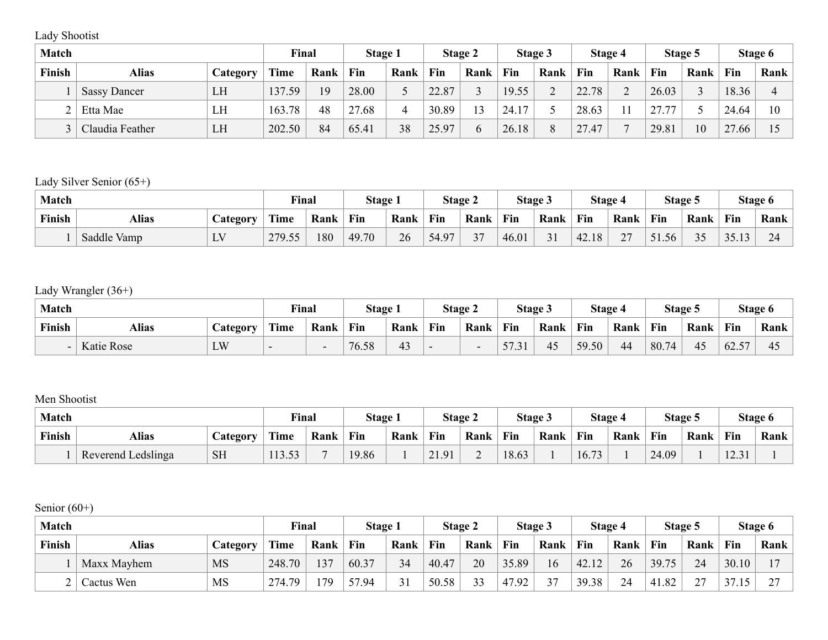Lady Shootist

| <b>Match</b> |                     |          | Final       |      | <b>Stage 1</b> |      |       | <b>Stage 2</b> |       | Stage 3       |       | Stage 4 |       | Stage 5 |            | Stage 6 |
|--------------|---------------------|----------|-------------|------|----------------|------|-------|----------------|-------|---------------|-------|---------|-------|---------|------------|---------|
| Finish       | Alias               | Category | <b>Time</b> | Rank | Fin            | Rank | Fin   | Rank           | Fin   | Rank          | Fin   | Rank    | Fin   | Rank    | Fin        | Rank    |
|              | <b>Sassy Dancer</b> | LH       | 137.59      | 19   | 28.00          |      | 22.87 |                | 19.55 | $\sim$        | 22.78 | ◠<br>∽  | 26.03 |         | 18.36      |         |
|              | Etta Mae            | LH       | 163.78      | 48   | 27.68          |      | 30.89 | $\overline{3}$ | 24.17 |               | 28.63 |         | 27.7  |         | 24.64      | 10      |
|              | Claudia Feather     | LH       | 202.50      | 84   | 65.41          | 38   | 25.97 |                | 26.18 | $\Omega$<br>◠ | 27.47 | -       | 29.81 | 10      | 27.<br>.66 |         |

## Lady Silver Senior (65+)

| <b>Match</b> |              |          | Final  |      | Stage 1 |      |       | Stage 2                            |       | Stage 3 |                        | Stage 4                    |       | Stage 5   |       | Stage 6 |
|--------------|--------------|----------|--------|------|---------|------|-------|------------------------------------|-------|---------|------------------------|----------------------------|-------|-----------|-------|---------|
| Finish       | <b>Alias</b> | Category | Time   | Rank | Fin     | Rank | Fin   | Rank                               | Fin   | Rank    | Fin                    | Rank                       | Fin   | Rank      | Fin   | Rank    |
|              | Saddle Vamp  | LV       | 279.55 | 180  | 49.70   | 26   | 54.97 | $\sim$<br>$\overline{\phantom{a}}$ | 46.01 | 3 I     | 42.<br>18 <sup>2</sup> | $\sim$<br>$\leftharpoonup$ | 51.56 | 35<br>J J | 35.13 | 24      |

### Lady Wrangler (36+)

| <b>Match</b> |                   |          | Final |      | Stage 1 |      | Stage 2 |      | Stage 3           |      | Stage 4 |      | Stage 5 |      | Stage 6 |      |
|--------------|-------------------|----------|-------|------|---------|------|---------|------|-------------------|------|---------|------|---------|------|---------|------|
| Finish       | <b>Alias</b>      | Category | Time  | Rank | Fin     | Rank | Fin     | Rank | Fin               | Rank | Fin     | Rank | Fin     | Rank | Fin     | Rank |
| -            | <b>Katie Rose</b> | LW       |       | -    | 76.58   | 43   |         |      | 57<br>31<br>◡<br> | 45   | 59.50   | 44   | 80.74   | 45   | 62.57   | -45  |

#### Men Shootist

| <b>Match</b> |                    |                  | <b>Final</b> |      | Stage 1 |      | Stage 2       |      | Stage 3 |      | Stage 4               |      | Stage 5 |      | Stage 6         |      |
|--------------|--------------------|------------------|--------------|------|---------|------|---------------|------|---------|------|-----------------------|------|---------|------|-----------------|------|
| Finish       | <b>Alias</b>       | <i>C</i> ategory | Time         | Rank | Fin     | Rank | Fin           | Rank | Fin     | Rank | Fin                   | Rank | Fin     | Rank | Fin             | Rank |
|              | Reverend Ledslinga | <b>SH</b>        | 113.53       |      | 19.86   |      | 21.91<br>21.9 |      | 18.63   |      | $\mathbf{z}$<br>16.73 |      | 24.09   |      | 12.31<br>14.J I |      |

Senior (60+)

| <b>Match</b> |             |           | Final  |      | Stage 1 |      | <b>Stage 2</b> |      | Stage 3 |        | Stage 4 |      | Stage 5 |                    | Stage 6 |        |
|--------------|-------------|-----------|--------|------|---------|------|----------------|------|---------|--------|---------|------|---------|--------------------|---------|--------|
| Finish       | Alias       | Category  | Time   | Rank | Fin     | Rank | Fin            | Rank | Fin     | Rank   | Fin     | Rank | Fin     | Rank               | Fin     | Rank   |
|              | Maxx Mayhem | <b>MS</b> | 248.70 | 137  | 60.37   | 34   | 40.47          | 20   | 35.89   | 16     | 42.12   | 26   | 39.75   | 24                 | 30.10   |        |
|              | Cactus Wen  | <b>MS</b> | 274.79 | 179  | 57.94   | 21   | 50.58          | 33   | 47.92   | $\sim$ | 39.38   | 24   | 41.82   | $\sim$<br><u>_</u> | 37      | $\sim$ |